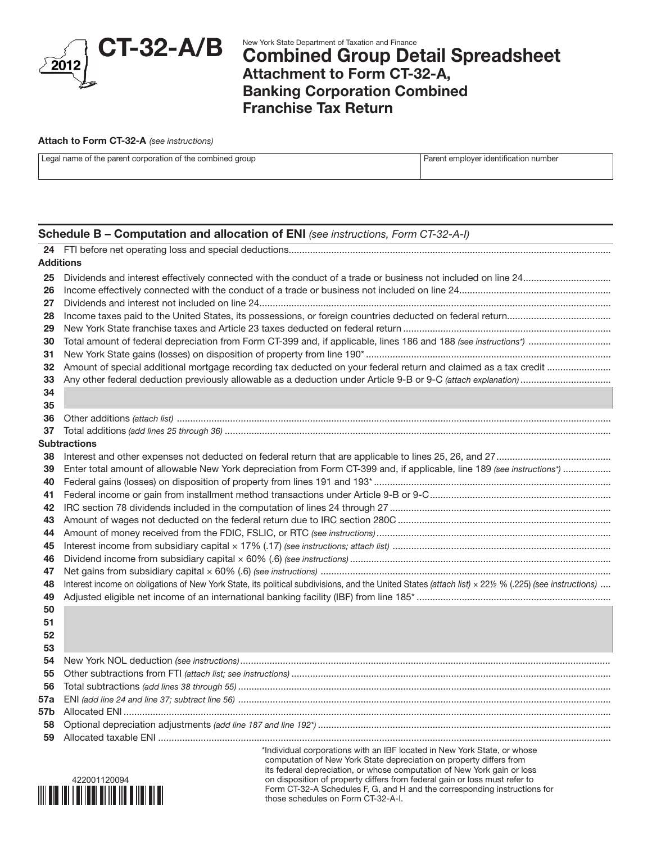

# New York State Department of Taxation and Finance<br>**Combined Group Detail Spreadsheet** Attachment to Form CT-32-A, Banking Corporation Combined Franchise Tax Return

#### Attach to Form CT-32-A *(see instructions)*

| Legal name of the parent corporation of the combined group | Parent employer identification number |
|------------------------------------------------------------|---------------------------------------|
|                                                            |                                       |

## Schedule B – Computation and allocation of ENI *(see instructions, Form CT-32-A-I)*

| <b>Additions</b>                                                                             |                                                                                                                                                                                                                                                                                  |
|----------------------------------------------------------------------------------------------|----------------------------------------------------------------------------------------------------------------------------------------------------------------------------------------------------------------------------------------------------------------------------------|
| 25<br>26<br>27<br>28                                                                         |                                                                                                                                                                                                                                                                                  |
| 29<br>30<br>31<br>32<br>33<br>34<br>35                                                       |                                                                                                                                                                                                                                                                                  |
| 36                                                                                           |                                                                                                                                                                                                                                                                                  |
| 37                                                                                           |                                                                                                                                                                                                                                                                                  |
|                                                                                              | <b>Subtractions</b>                                                                                                                                                                                                                                                              |
| 38<br>39<br>40<br>41<br>42<br>43<br>44<br>45<br>46<br>47<br>48<br>49<br>50<br>51<br>52<br>53 | Enter total amount of allowable New York depreciation from Form CT-399 and, if applicable, line 189 (see instructions*)<br>Interest income on obligations of New York State, its political subdivisions, and the United States (attach list) × 221/2 % (.225) (see instructions) |
| 54<br>55<br>56<br>57a<br>57b<br>58<br>59                                                     | *Individual corporations with an IBF located in New York State, or whose                                                                                                                                                                                                         |
|                                                                                              | computation of New York State depreciation on property differs from                                                                                                                                                                                                              |



its federal depreciation, or whose computation of New York gain or loss on disposition of property differs from federal gain or loss must refer to Form CT-32-A Schedules F, G, and H and the corresponding instructions for those schedules on Form CT-32-A-I.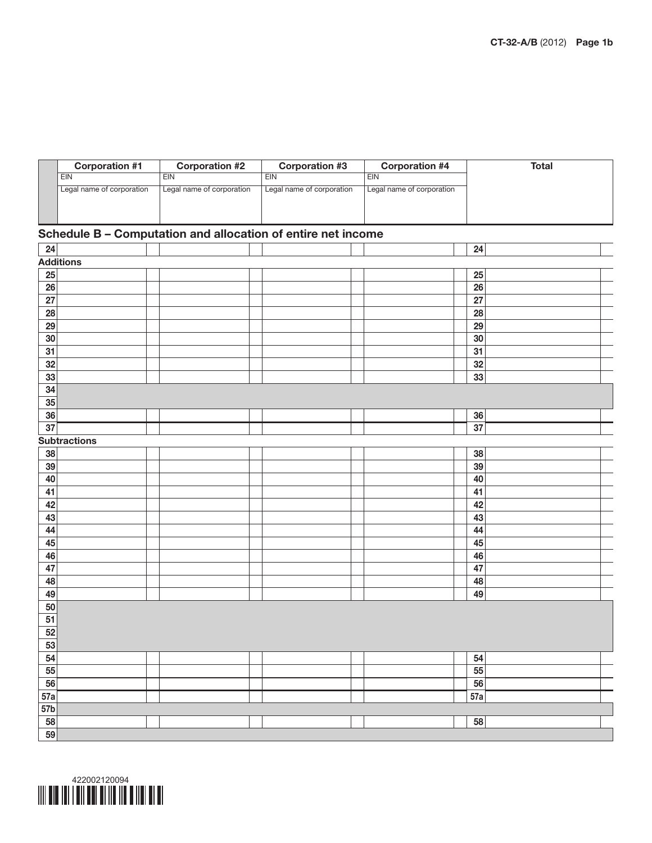|     | <b>Corporation #1</b>     | <b>Corporation #2</b>                                        | <b>Corporation #3</b>     | <b>Corporation #4</b>     | <b>Total</b> |
|-----|---------------------------|--------------------------------------------------------------|---------------------------|---------------------------|--------------|
|     | EIN                       | EIN                                                          | <b>EIN</b>                | EIN                       |              |
|     | Legal name of corporation | Legal name of corporation                                    | Legal name of corporation | Legal name of corporation |              |
|     |                           |                                                              |                           |                           |              |
|     |                           |                                                              |                           |                           |              |
|     |                           | Schedule B - Computation and allocation of entire net income |                           |                           |              |
| 24  |                           |                                                              |                           |                           | 24           |
|     | <b>Additions</b>          |                                                              |                           |                           |              |
| 25  |                           |                                                              |                           |                           | 25           |
| 26  |                           |                                                              |                           |                           | 26           |
| 27  |                           |                                                              |                           |                           | 27           |
| 28  |                           |                                                              |                           |                           | 28           |
| 29  |                           |                                                              |                           |                           | 29           |
| 30  |                           |                                                              |                           |                           | 30           |
| 31  |                           |                                                              |                           |                           | 31           |
| 32  |                           |                                                              |                           |                           | 32           |
| 33  |                           |                                                              |                           |                           | 33           |
| 34  |                           |                                                              |                           |                           |              |
| 35  |                           |                                                              |                           |                           |              |
| 36  |                           |                                                              |                           |                           | 36           |
| 37  |                           |                                                              |                           |                           | 37           |
|     | <b>Subtractions</b>       |                                                              |                           |                           |              |
| 38  |                           |                                                              |                           |                           | 38           |
| 39  |                           |                                                              |                           |                           | 39           |
| 40  |                           |                                                              |                           |                           | 40           |
| 41  |                           |                                                              |                           |                           | 41           |
| 42  |                           |                                                              |                           |                           | 42           |
| 43  |                           |                                                              |                           |                           | 43           |
| 44  |                           |                                                              |                           |                           | 44           |
| 45  |                           |                                                              |                           |                           | 45           |
| 46  |                           |                                                              |                           |                           | 46           |
| 47  |                           |                                                              |                           |                           | 47           |
| 48  |                           |                                                              |                           |                           | 48           |
| 49  |                           |                                                              |                           |                           | 49           |
| 50  |                           |                                                              |                           |                           |              |
| 51  |                           |                                                              |                           |                           |              |
| 52  |                           |                                                              |                           |                           |              |
| 53  |                           |                                                              |                           |                           |              |
| 54  |                           |                                                              |                           |                           | 54           |
| 55  |                           |                                                              |                           |                           | 55           |
| 56  |                           |                                                              |                           |                           | 56           |
| 57a |                           |                                                              |                           |                           | 57a          |
| 57b |                           |                                                              |                           |                           |              |
| 58  |                           |                                                              |                           |                           | 58           |
| 59  |                           |                                                              |                           |                           |              |

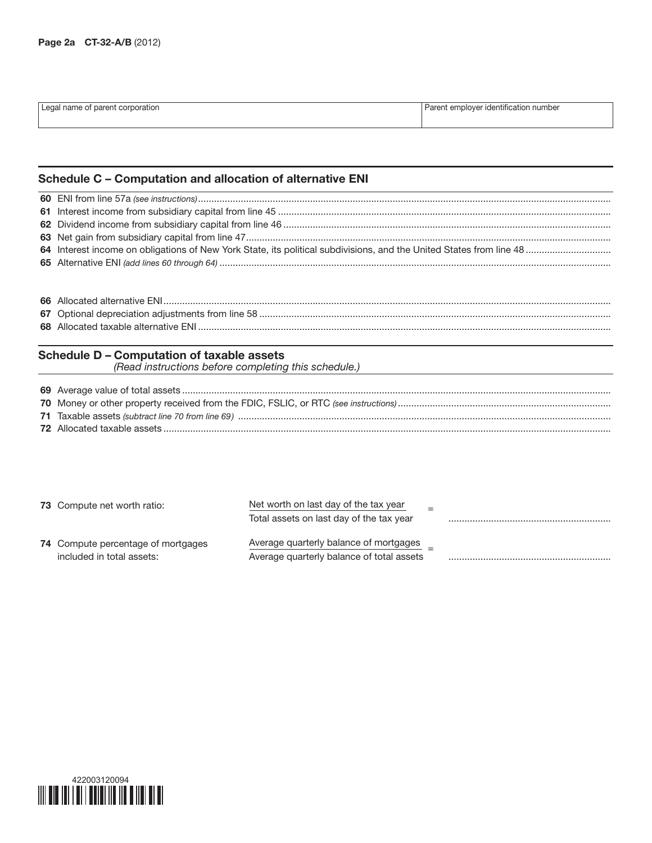| I Legal name of parent corporation | Parent employer identification number |
|------------------------------------|---------------------------------------|
|                                    |                                       |

# Schedule C – Computation and allocation of alternative ENI

### Schedule D – Computation of taxable assets

*(Read instructions before completing this schedule.)*

| <b>73</b> Compute net worth ratio:        | Net worth on last day of the tax year<br>Total assets on last day of the tax year |  |
|-------------------------------------------|-----------------------------------------------------------------------------------|--|
| <b>74</b> Compute percentage of mortgages | Average quarterly balance of mortgages                                            |  |
| included in total assets:                 | Average quarterly balance of total assets                                         |  |

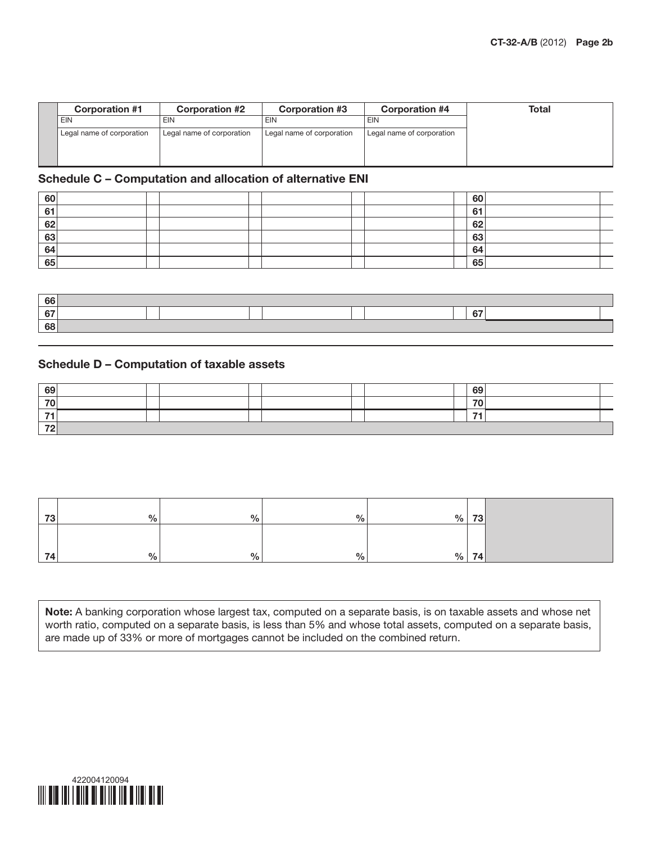| <b>Corporation #1</b>     | <b>Corporation #2</b>     | <b>Corporation #3</b>     | <b>Corporation #4</b>     | Total |
|---------------------------|---------------------------|---------------------------|---------------------------|-------|
| <b>EIN</b>                | EIN                       | EIN                       | <b>EIN</b>                |       |
| Legal name of corporation | Legal name of corporation | Legal name of corporation | Legal name of corporation |       |
|                           |                           |                           |                           |       |
|                           |                           |                           |                           |       |

### Schedule C – Computation and allocation of alternative ENI

| 60 |  |  |  |  | 60 |  |
|----|--|--|--|--|----|--|
| 61 |  |  |  |  | 64 |  |
| 62 |  |  |  |  | 62 |  |
| 63 |  |  |  |  | 63 |  |
| 64 |  |  |  |  | 64 |  |
| 65 |  |  |  |  | 65 |  |

| 66                          |  |  |        |  |
|-----------------------------|--|--|--------|--|
| . 6 <sup>-</sup><br>$\cdot$ |  |  | $\sim$ |  |
| 68                          |  |  |        |  |

## Schedule D – Computation of taxable assets

| 69           |  |  |  |  | 69 |  |
|--------------|--|--|--|--|----|--|
| $70^{\circ}$ |  |  |  |  | 70 |  |
| - 1          |  |  |  |  | -- |  |
| 70<br>-      |  |  |  |  |    |  |

| 73 | $\frac{0}{0}$ | % | 0/2 | $\%$ | 73 |
|----|---------------|---|-----|------|----|
|    |               |   |     |      |    |
| 74 | $\frac{9}{6}$ | % | 0/2 | %    | 74 |

Note: A banking corporation whose largest tax, computed on a separate basis, is on taxable assets and whose net worth ratio, computed on a separate basis, is less than 5% and whose total assets, computed on a separate basis, are made up of 33% or more of mortgages cannot be included on the combined return.

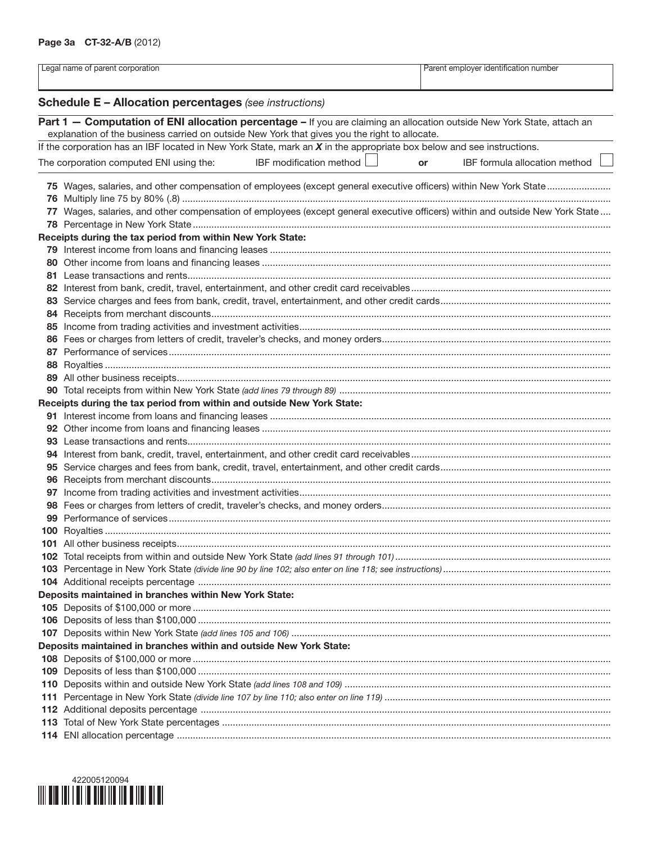|     | Legal name of parent corporation                                                                                              |    | Parent employer identification number |
|-----|-------------------------------------------------------------------------------------------------------------------------------|----|---------------------------------------|
|     | <b>Schedule E - Allocation percentages (see instructions)</b>                                                                 |    |                                       |
|     | Part 1 - Computation of ENI allocation percentage - If you are claiming an allocation outside New York State, attach an       |    |                                       |
|     | explanation of the business carried on outside New York that gives you the right to allocate.                                 |    |                                       |
|     | If the corporation has an IBF located in New York State, mark an $X$ in the appropriate box below and see instructions.       |    |                                       |
|     | IBF modification method<br>The corporation computed ENI using the:                                                            | or | IBF formula allocation method         |
|     |                                                                                                                               |    |                                       |
|     | 75 Wages, salaries, and other compensation of employees (except general executive officers) within New York State             |    |                                       |
|     |                                                                                                                               |    |                                       |
|     | 77 Wages, salaries, and other compensation of employees (except general executive officers) within and outside New York State |    |                                       |
|     |                                                                                                                               |    |                                       |
|     | Receipts during the tax period from within New York State:                                                                    |    |                                       |
|     |                                                                                                                               |    |                                       |
|     |                                                                                                                               |    |                                       |
|     |                                                                                                                               |    |                                       |
|     |                                                                                                                               |    |                                       |
|     |                                                                                                                               |    |                                       |
|     |                                                                                                                               |    |                                       |
|     |                                                                                                                               |    |                                       |
|     |                                                                                                                               |    |                                       |
|     |                                                                                                                               |    |                                       |
|     |                                                                                                                               |    |                                       |
|     |                                                                                                                               |    |                                       |
|     |                                                                                                                               |    |                                       |
|     | Receipts during the tax period from within and outside New York State:                                                        |    |                                       |
|     |                                                                                                                               |    |                                       |
|     |                                                                                                                               |    |                                       |
|     |                                                                                                                               |    |                                       |
|     |                                                                                                                               |    |                                       |
|     |                                                                                                                               |    |                                       |
|     |                                                                                                                               |    |                                       |
| 97  |                                                                                                                               |    |                                       |
|     |                                                                                                                               |    |                                       |
|     |                                                                                                                               |    |                                       |
|     |                                                                                                                               |    |                                       |
|     |                                                                                                                               |    |                                       |
|     |                                                                                                                               |    |                                       |
|     |                                                                                                                               |    |                                       |
|     | Deposits maintained in branches within New York State:                                                                        |    |                                       |
|     |                                                                                                                               |    |                                       |
| 106 |                                                                                                                               |    |                                       |
| 107 |                                                                                                                               |    |                                       |
|     | Deposits maintained in branches within and outside New York State:                                                            |    |                                       |
|     |                                                                                                                               |    |                                       |
| 109 |                                                                                                                               |    |                                       |
| 110 |                                                                                                                               |    |                                       |
| 111 |                                                                                                                               |    |                                       |
|     |                                                                                                                               |    |                                       |
|     |                                                                                                                               |    |                                       |
|     |                                                                                                                               |    |                                       |
|     |                                                                                                                               |    |                                       |

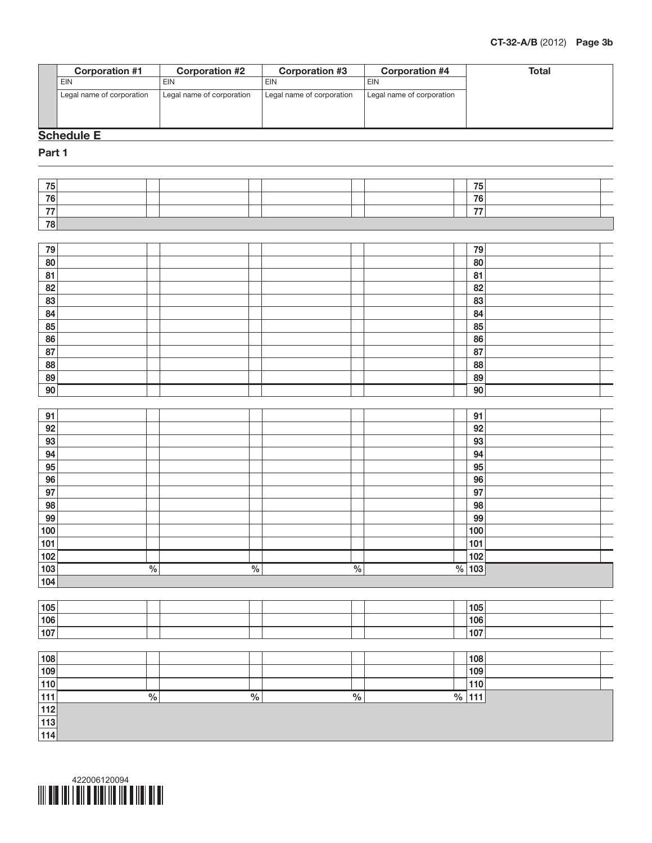

| 75    |               |               |               | 75              |
|-------|---------------|---------------|---------------|-----------------|
| 76    |               |               |               | 76              |
| 77    |               |               |               | 77              |
| 78    |               |               |               |                 |
|       |               |               |               |                 |
| 79    |               |               |               | 79              |
| 80    |               |               |               | 80              |
| 81    |               |               |               | 81              |
| 82    |               |               |               | 82              |
| 83    |               |               |               | 83              |
| 84    |               |               |               | 84              |
| 85    |               |               |               | 85              |
| 86    |               |               |               | 86              |
| 87    |               |               |               | 87              |
| 88    |               |               |               | 88              |
| 89    |               |               |               | 89              |
| 90    |               |               |               | 90              |
|       |               |               |               |                 |
| 91    |               |               |               | 91              |
| 92    |               |               |               | 92              |
| 93    |               |               |               | 93              |
| 94    |               |               |               | 94              |
| 95    |               |               |               | 95              |
| 96    |               |               |               | 96              |
| 97    |               |               |               | 97              |
| 98    |               |               |               | 98              |
| 99    |               |               |               | 99              |
| 100   |               |               |               | 100             |
| 101   |               |               |               | 101             |
| 102   |               |               |               | 102             |
| 103   | $\frac{0}{6}$ | $\frac{0}{6}$ | $\frac{0}{6}$ | $\sqrt{96}$ 103 |
| 104   |               |               |               |                 |
|       |               |               |               |                 |
| 105   |               |               |               | 105             |
| 106   |               |               |               | 106             |
| 107   |               |               |               | 107             |
|       |               |               |               |                 |
| 108   |               |               |               | 108             |
| 109   |               |               |               | 109             |
| 110   |               |               |               | 110             |
| $111$ | $\frac{0}{6}$ | $\frac{0}{6}$ | $\frac{0}{6}$ | $\sqrt{96}$ 111 |
| $112$ |               |               |               |                 |
| $113$ |               |               |               |                 |
| 114   |               |               |               |                 |

**Corporation #1** Corporation #2 Corporation #3 Corporation #4 Total

EIN EIN EIN EIN

Legal name of corporation Legal name of corporation Legal name of corporation Legal name of corporation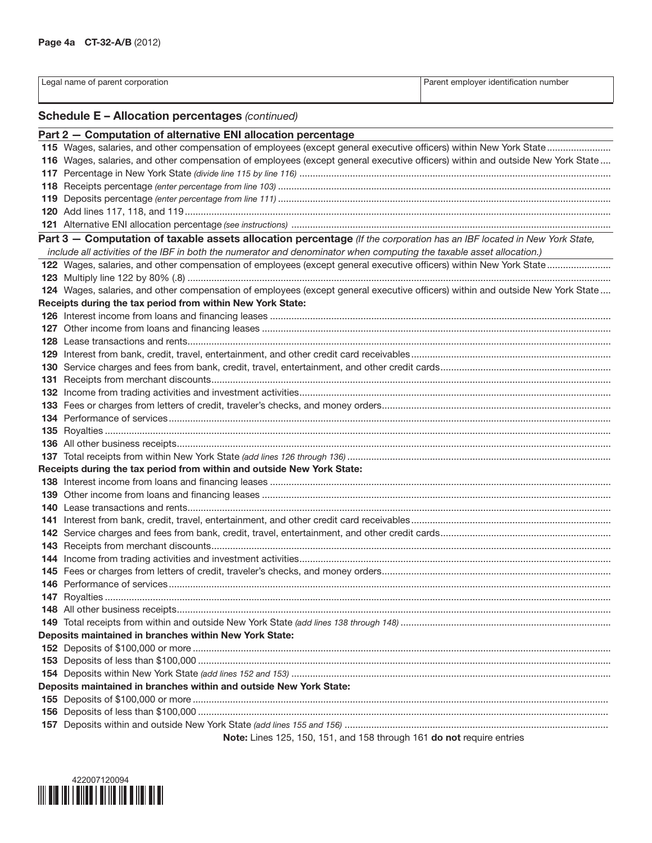| Legal name of parent corporation                                                                                                                                                             | Parent employer identification number |
|----------------------------------------------------------------------------------------------------------------------------------------------------------------------------------------------|---------------------------------------|
|                                                                                                                                                                                              |                                       |
| <b>Schedule E - Allocation percentages (continued)</b>                                                                                                                                       |                                       |
|                                                                                                                                                                                              |                                       |
| Part 2 - Computation of alternative ENI allocation percentage                                                                                                                                |                                       |
|                                                                                                                                                                                              |                                       |
| 116 Wages, salaries, and other compensation of employees (except general executive officers) within and outside New York State                                                               |                                       |
|                                                                                                                                                                                              |                                       |
|                                                                                                                                                                                              |                                       |
|                                                                                                                                                                                              |                                       |
|                                                                                                                                                                                              |                                       |
|                                                                                                                                                                                              |                                       |
| Part 3 - Computation of taxable assets allocation percentage (If the corporation has an IBF located in New York State,                                                                       |                                       |
| include all activities of the IBF in both the numerator and denominator when computing the taxable asset allocation.)                                                                        |                                       |
|                                                                                                                                                                                              |                                       |
|                                                                                                                                                                                              |                                       |
| 124 Wages, salaries, and other compensation of employees (except general executive officers) within and outside New York State<br>Receipts during the tax period from within New York State: |                                       |
|                                                                                                                                                                                              |                                       |
|                                                                                                                                                                                              |                                       |
|                                                                                                                                                                                              |                                       |
|                                                                                                                                                                                              |                                       |
|                                                                                                                                                                                              |                                       |
|                                                                                                                                                                                              |                                       |
|                                                                                                                                                                                              |                                       |
|                                                                                                                                                                                              |                                       |
|                                                                                                                                                                                              |                                       |
|                                                                                                                                                                                              |                                       |
|                                                                                                                                                                                              |                                       |
|                                                                                                                                                                                              |                                       |
| Receipts during the tax period from within and outside New York State:                                                                                                                       |                                       |
|                                                                                                                                                                                              |                                       |
|                                                                                                                                                                                              |                                       |
|                                                                                                                                                                                              |                                       |
|                                                                                                                                                                                              |                                       |
|                                                                                                                                                                                              |                                       |
|                                                                                                                                                                                              |                                       |
|                                                                                                                                                                                              |                                       |
|                                                                                                                                                                                              |                                       |
|                                                                                                                                                                                              |                                       |
|                                                                                                                                                                                              |                                       |
|                                                                                                                                                                                              |                                       |
|                                                                                                                                                                                              |                                       |
| Deposits maintained in branches within New York State:                                                                                                                                       |                                       |
|                                                                                                                                                                                              |                                       |
|                                                                                                                                                                                              |                                       |
|                                                                                                                                                                                              |                                       |
| Deposits maintained in branches within and outside New York State:                                                                                                                           |                                       |
|                                                                                                                                                                                              |                                       |
|                                                                                                                                                                                              |                                       |
|                                                                                                                                                                                              |                                       |
| Note: Lines 125, 150, 151, and 158 through 161 do not require entries                                                                                                                        |                                       |